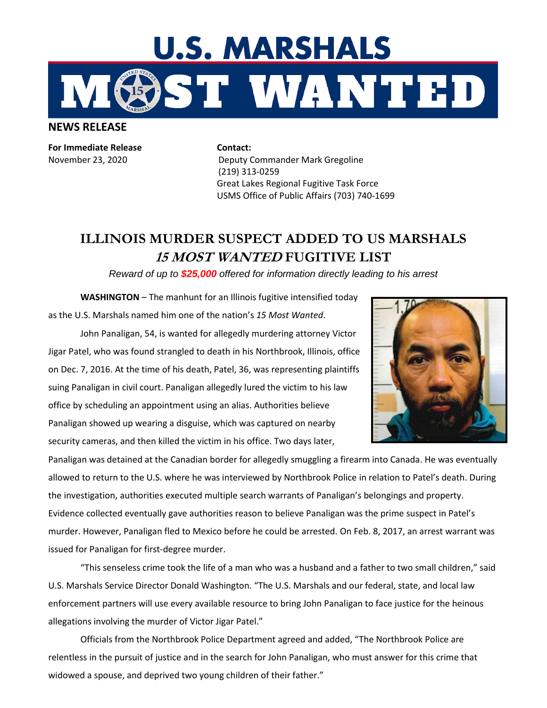

**NEWS RELEASE**

**For Immediate Release**  November 23, 2020

**Contact:**  Deputy Commander Mark Gregoline (219) 313-0259 Great Lakes Regional Fugitive Task Force USMS Office of Public Affairs (703) 740-1699

## **ILLINOIS MURDER SUSPECT ADDED TO US MARSHALS 15 MOST WANTED FUGITIVE LIST**

*Reward of up to \$25,000 offered for information directly leading to his arrest*

**WASHINGTON** – The manhunt for an Illinois fugitive intensified today as the U.S. Marshals named him one of the nation's *15 Most Wanted*.

John Panaligan, 54, is wanted for allegedly murdering attorney Victor Jigar Patel, who was found strangled to death in his Northbrook, Illinois, office on Dec. 7, 2016. At the time of his death, Patel, 36, was representing plaintiffs suing Panaligan in civil court. Panaligan allegedly lured the victim to his law office by scheduling an appointment using an alias. Authorities believe Panaligan showed up wearing a disguise, which was captured on nearby security cameras, and then killed the victim in his office. Two days later,



Panaligan was detained at the Canadian border for allegedly smuggling a firearm into Canada. He was eventually allowed to return to the U.S. where he was interviewed by Northbrook Police in relation to Patel's death. During the investigation, authorities executed multiple search warrants of Panaligan's belongings and property. Evidence collected eventually gave authorities reason to believe Panaligan was the prime suspect in Patel's murder. However, Panaligan fled to Mexico before he could be arrested. On Feb. 8, 2017, an arrest warrant was issued for Panaligan for first-degree murder.

"This senseless crime took the life of a man who was a husband and a father to two small children," said U.S. Marshals Service Director Donald Washington. "The U.S. Marshals and our federal, state, and local law enforcement partners will use every available resource to bring John Panaligan to face justice for the heinous allegations involving the murder of Victor Jigar Patel."

Officials from the Northbrook Police Department agreed and added, "The Northbrook Police are relentless in the pursuit of justice and in the search for John Panaligan, who must answer for this crime that widowed a spouse, and deprived two young children of their father."